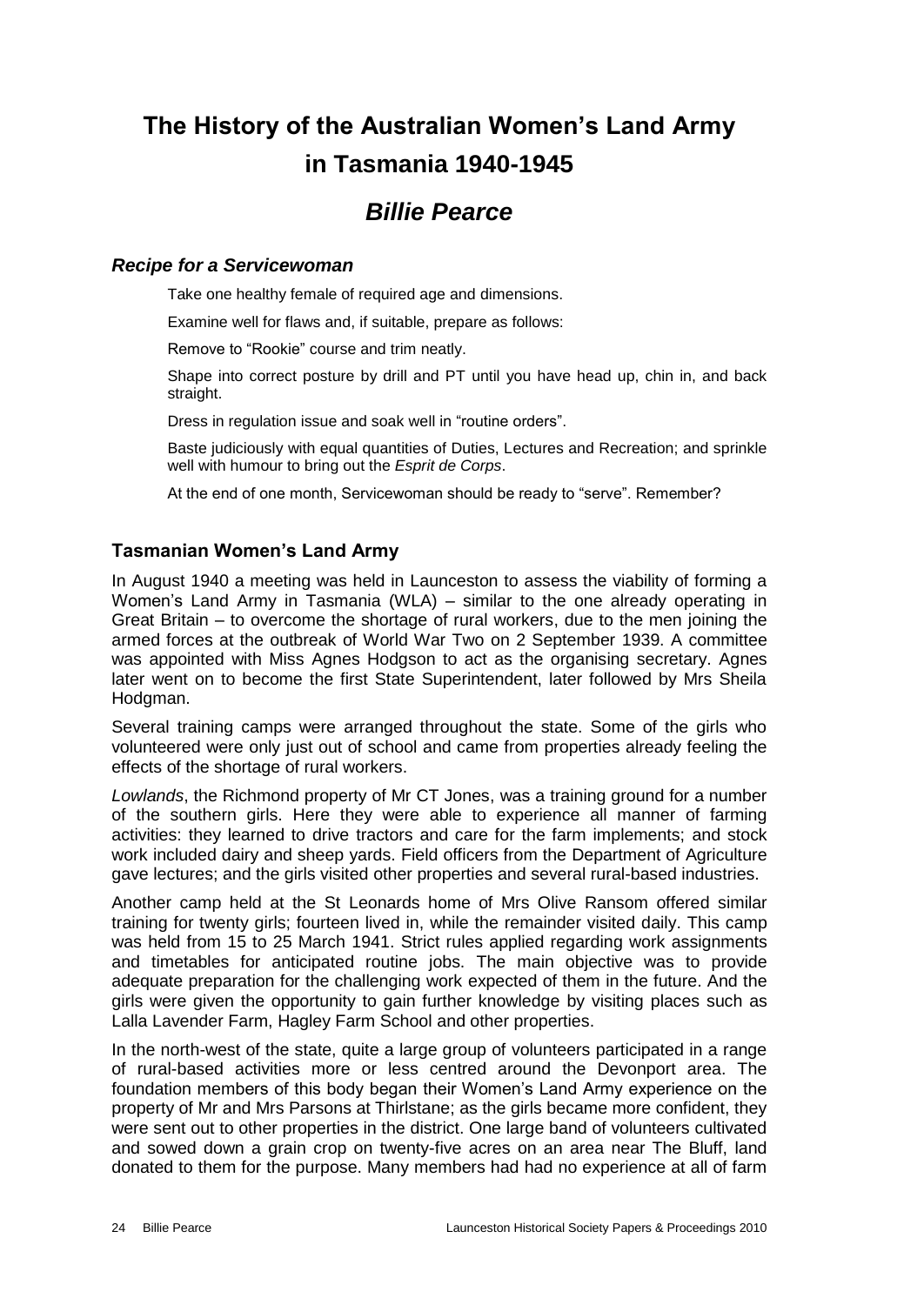# **The History of the Australian Women's Land Army in Tasmania 1940-1945**

# *Billie Pearce*

#### *Recipe for a Servicewoman*

Take one healthy female of required age and dimensions.

Examine well for flaws and, if suitable, prepare as follows:

Remove to "Rookie" course and trim neatly.

Shape into correct posture by drill and PT until you have head up, chin in, and back straight.

Dress in regulation issue and soak well in "routine orders".

Baste judiciously with equal quantities of Duties, Lectures and Recreation; and sprinkle well with humour to bring out the *Esprit de Corps*.

At the end of one month, Servicewoman should be ready to "serve". Remember?

## **Tasmanian Women's Land Army**

In August 1940 a meeting was held in Launceston to assess the viability of forming a Women's Land Army in Tasmania (WLA) – similar to the one already operating in Great Britain – to overcome the shortage of rural workers, due to the men joining the armed forces at the outbreak of World War Two on 2 September 1939. A committee was appointed with Miss Agnes Hodgson to act as the organising secretary. Agnes later went on to become the first State Superintendent, later followed by Mrs Sheila Hodgman.

Several training camps were arranged throughout the state. Some of the girls who volunteered were only just out of school and came from properties already feeling the effects of the shortage of rural workers.

*Lowlands*, the Richmond property of Mr CT Jones, was a training ground for a number of the southern girls. Here they were able to experience all manner of farming activities: they learned to drive tractors and care for the farm implements; and stock work included dairy and sheep yards. Field officers from the Department of Agriculture gave lectures; and the girls visited other properties and several rural-based industries.

Another camp held at the St Leonards home of Mrs Olive Ransom offered similar training for twenty girls; fourteen lived in, while the remainder visited daily. This camp was held from 15 to 25 March 1941. Strict rules applied regarding work assignments and timetables for anticipated routine jobs. The main objective was to provide adequate preparation for the challenging work expected of them in the future. And the girls were given the opportunity to gain further knowledge by visiting places such as Lalla Lavender Farm, Hagley Farm School and other properties.

In the north-west of the state, quite a large group of volunteers participated in a range of rural-based activities more or less centred around the Devonport area. The foundation members of this body began their Women's Land Army experience on the property of Mr and Mrs Parsons at Thirlstane; as the girls became more confident, they were sent out to other properties in the district. One large band of volunteers cultivated and sowed down a grain crop on twenty-five acres on an area near The Bluff, land donated to them for the purpose. Many members had had no experience at all of farm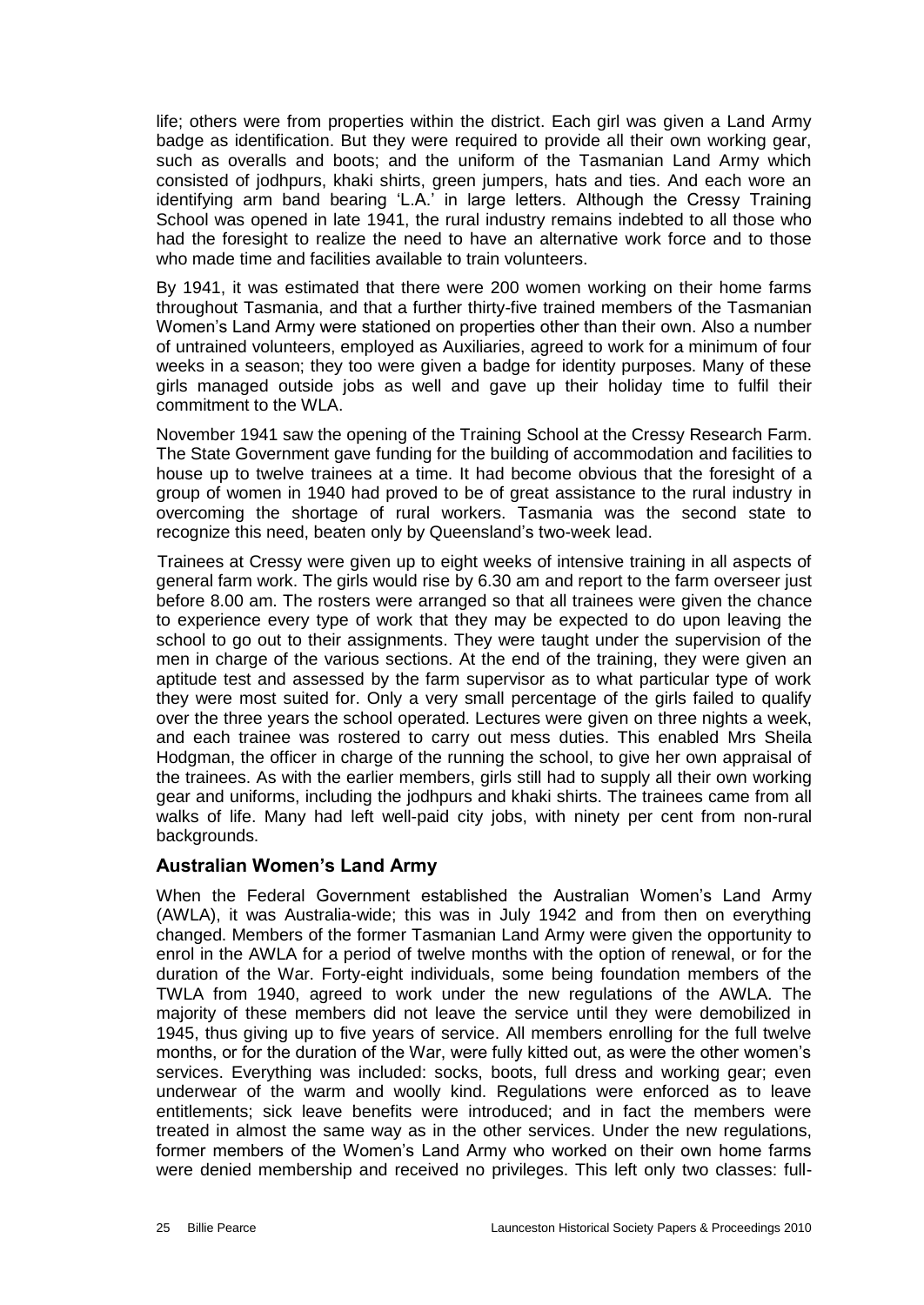life; others were from properties within the district. Each girl was given a Land Army badge as identification. But they were required to provide all their own working gear, such as overalls and boots; and the uniform of the Tasmanian Land Army which consisted of jodhpurs, khaki shirts, green jumpers, hats and ties. And each wore an identifying arm band bearing 'L.A.' in large letters. Although the Cressy Training School was opened in late 1941, the rural industry remains indebted to all those who had the foresight to realize the need to have an alternative work force and to those who made time and facilities available to train volunteers.

By 1941, it was estimated that there were 200 women working on their home farms throughout Tasmania, and that a further thirty-five trained members of the Tasmanian Women's Land Army were stationed on properties other than their own. Also a number of untrained volunteers, employed as Auxiliaries, agreed to work for a minimum of four weeks in a season; they too were given a badge for identity purposes. Many of these girls managed outside jobs as well and gave up their holiday time to fulfil their commitment to the WLA.

November 1941 saw the opening of the Training School at the Cressy Research Farm. The State Government gave funding for the building of accommodation and facilities to house up to twelve trainees at a time. It had become obvious that the foresight of a group of women in 1940 had proved to be of great assistance to the rural industry in overcoming the shortage of rural workers. Tasmania was the second state to recognize this need, beaten only by Queensland's two-week lead.

 Trainees at Cressy were given up to eight weeks of intensive training in all aspects of general farm work. The girls would rise by 6.30 am and report to the farm overseer just before 8.00 am. The rosters were arranged so that all trainees were given the chance to experience every type of work that they may be expected to do upon leaving the school to go out to their assignments. They were taught under the supervision of the men in charge of the various sections. At the end of the training, they were given an aptitude test and assessed by the farm supervisor as to what particular type of work they were most suited for. Only a very small percentage of the girls failed to qualify over the three years the school operated. Lectures were given on three nights a week, and each trainee was rostered to carry out mess duties. This enabled Mrs Sheila Hodgman, the officer in charge of the running the school, to give her own appraisal of the trainees. As with the earlier members, girls still had to supply all their own working gear and uniforms, including the jodhpurs and khaki shirts. The trainees came from all walks of life. Many had left well-paid city jobs, with ninety per cent from non-rural backgrounds.

#### **Australian Women's Land Army**

When the Federal Government established the Australian Women's Land Army (AWLA), it was Australia-wide; this was in July 1942 and from then on everything changed. Members of the former Tasmanian Land Army were given the opportunity to enrol in the AWLA for a period of twelve months with the option of renewal, or for the duration of the War. Forty-eight individuals, some being foundation members of the TWLA from 1940, agreed to work under the new regulations of the AWLA. The majority of these members did not leave the service until they were demobilized in 1945, thus giving up to five years of service. All members enrolling for the full twelve months, or for the duration of the War, were fully kitted out, as were the other women's services. Everything was included: socks, boots, full dress and working gear; even underwear of the warm and woolly kind. Regulations were enforced as to leave entitlements; sick leave benefits were introduced; and in fact the members were treated in almost the same way as in the other services. Under the new regulations, former members of the Women's Land Army who worked on their own home farms were denied membership and received no privileges. This left only two classes: full